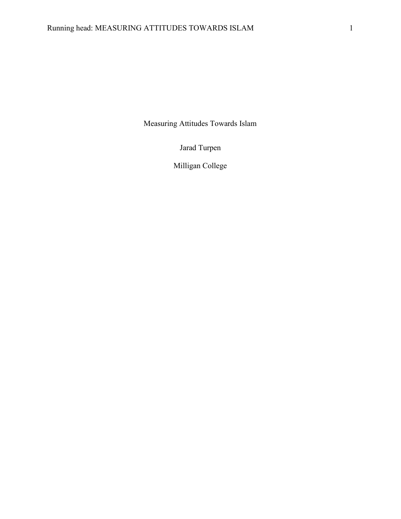Measuring Attitudes Towards Islam

Jarad Turpen

Milligan College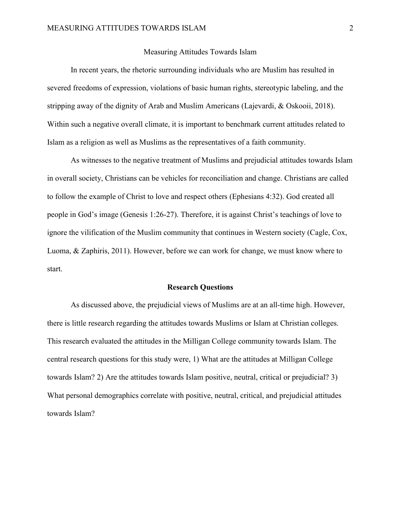## Measuring Attitudes Towards Islam

 In recent years, the rhetoric surrounding individuals who are Muslim has resulted in severed freedoms of expression, violations of basic human rights, stereotypic labeling, and the stripping away of the dignity of Arab and Muslim Americans (Lajevardi, & Oskooii, 2018). Within such a negative overall climate, it is important to benchmark current attitudes related to Islam as a religion as well as Muslims as the representatives of a faith community.

As witnesses to the negative treatment of Muslims and prejudicial attitudes towards Islam in overall society, Christians can be vehicles for reconciliation and change. Christians are called to follow the example of Christ to love and respect others (Ephesians 4:32). God created all people in God's image (Genesis 1:26-27). Therefore, it is against Christ's teachings of love to ignore the vilification of the Muslim community that continues in Western society (Cagle, Cox, Luoma, & Zaphiris, 2011). However, before we can work for change, we must know where to start.

## Research Questions

As discussed above, the prejudicial views of Muslims are at an all-time high. However, there is little research regarding the attitudes towards Muslims or Islam at Christian colleges. This research evaluated the attitudes in the Milligan College community towards Islam. The central research questions for this study were, 1) What are the attitudes at Milligan College towards Islam? 2) Are the attitudes towards Islam positive, neutral, critical or prejudicial? 3) What personal demographics correlate with positive, neutral, critical, and prejudicial attitudes towards Islam?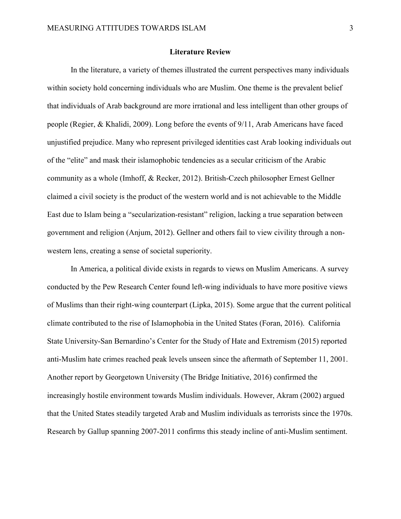## Literature Review

In the literature, a variety of themes illustrated the current perspectives many individuals within society hold concerning individuals who are Muslim. One theme is the prevalent belief that individuals of Arab background are more irrational and less intelligent than other groups of people (Regier, & Khalidi, 2009). Long before the events of 9/11, Arab Americans have faced unjustified prejudice. Many who represent privileged identities cast Arab looking individuals out of the "elite" and mask their islamophobic tendencies as a secular criticism of the Arabic community as a whole (Imhoff, & Recker, 2012). British-Czech philosopher Ernest Gellner claimed a civil society is the product of the western world and is not achievable to the Middle East due to Islam being a "secularization-resistant" religion, lacking a true separation between government and religion (Anjum, 2012). Gellner and others fail to view civility through a nonwestern lens, creating a sense of societal superiority.

In America, a political divide exists in regards to views on Muslim Americans. A survey conducted by the Pew Research Center found left-wing individuals to have more positive views of Muslims than their right-wing counterpart (Lipka, 2015). Some argue that the current political climate contributed to the rise of Islamophobia in the United States (Foran, 2016). California State University-San Bernardino's Center for the Study of Hate and Extremism (2015) reported anti-Muslim hate crimes reached peak levels unseen since the aftermath of September 11, 2001. Another report by Georgetown University (The Bridge Initiative, 2016) confirmed the increasingly hostile environment towards Muslim individuals. However, Akram (2002) argued that the United States steadily targeted Arab and Muslim individuals as terrorists since the 1970s. Research by Gallup spanning 2007-2011 confirms this steady incline of anti-Muslim sentiment.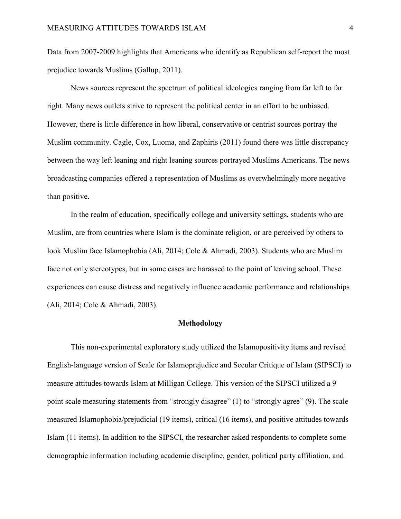Data from 2007-2009 highlights that Americans who identify as Republican self-report the most prejudice towards Muslims (Gallup, 2011).

News sources represent the spectrum of political ideologies ranging from far left to far right. Many news outlets strive to represent the political center in an effort to be unbiased. However, there is little difference in how liberal, conservative or centrist sources portray the Muslim community. Cagle, Cox, Luoma, and Zaphiris (2011) found there was little discrepancy between the way left leaning and right leaning sources portrayed Muslims Americans. The news broadcasting companies offered a representation of Muslims as overwhelmingly more negative than positive.

In the realm of education, specifically college and university settings, students who are Muslim, are from countries where Islam is the dominate religion, or are perceived by others to look Muslim face Islamophobia (Ali, 2014; Cole & Ahmadi, 2003). Students who are Muslim face not only stereotypes, but in some cases are harassed to the point of leaving school. These experiences can cause distress and negatively influence academic performance and relationships (Ali, 2014; Cole & Ahmadi, 2003).

### Methodology

This non-experimental exploratory study utilized the Islamopositivity items and revised English-language version of Scale for Islamoprejudice and Secular Critique of Islam (SIPSCI) to measure attitudes towards Islam at Milligan College. This version of the SIPSCI utilized a 9 point scale measuring statements from "strongly disagree" (1) to "strongly agree" (9). The scale measured Islamophobia/prejudicial (19 items), critical (16 items), and positive attitudes towards Islam (11 items). In addition to the SIPSCI, the researcher asked respondents to complete some demographic information including academic discipline, gender, political party affiliation, and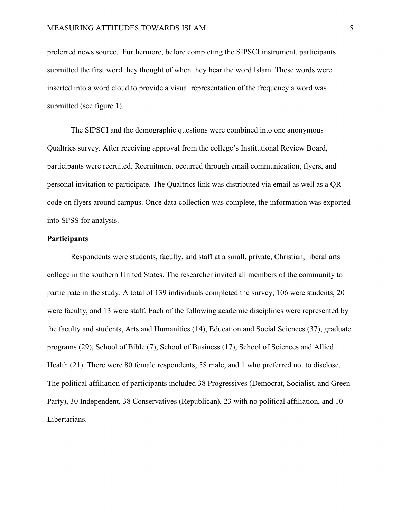preferred news source. Furthermore, before completing the SIPSCI instrument, participants submitted the first word they thought of when they hear the word Islam. These words were inserted into a word cloud to provide a visual representation of the frequency a word was submitted (see figure 1).

The SIPSCI and the demographic questions were combined into one anonymous Qualtrics survey. After receiving approval from the college's Institutional Review Board, participants were recruited. Recruitment occurred through email communication, flyers, and personal invitation to participate. The Qualtrics link was distributed via email as well as a QR code on flyers around campus. Once data collection was complete, the information was exported into SPSS for analysis.

## **Participants**

Respondents were students, faculty, and staff at a small, private, Christian, liberal arts college in the southern United States. The researcher invited all members of the community to participate in the study. A total of 139 individuals completed the survey, 106 were students, 20 were faculty, and 13 were staff. Each of the following academic disciplines were represented by the faculty and students, Arts and Humanities (14), Education and Social Sciences (37), graduate programs (29), School of Bible (7), School of Business (17), School of Sciences and Allied Health (21). There were 80 female respondents, 58 male, and 1 who preferred not to disclose. The political affiliation of participants included 38 Progressives (Democrat, Socialist, and Green Party), 30 Independent, 38 Conservatives (Republican), 23 with no political affiliation, and 10 Libertarians.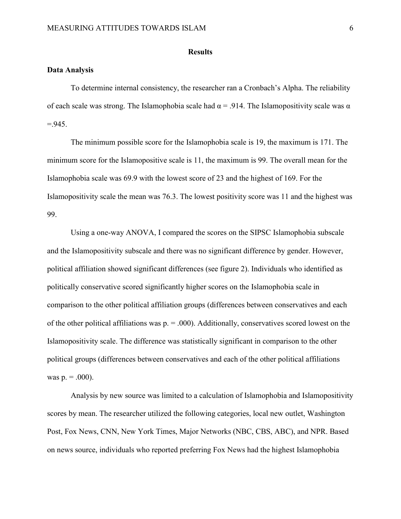### **Results**

## Data Analysis

 To determine internal consistency, the researcher ran a Cronbach's Alpha. The reliability of each scale was strong. The Islamophobia scale had  $\alpha = .914$ . The Islamopositivity scale was  $\alpha$  $=.945.$ 

The minimum possible score for the Islamophobia scale is 19, the maximum is 171. The minimum score for the Islamopositive scale is 11, the maximum is 99. The overall mean for the Islamophobia scale was 69.9 with the lowest score of 23 and the highest of 169. For the Islamopositivity scale the mean was 76.3. The lowest positivity score was 11 and the highest was 99.

Using a one-way ANOVA, I compared the scores on the SIPSC Islamophobia subscale and the Islamopositivity subscale and there was no significant difference by gender. However, political affiliation showed significant differences (see figure 2). Individuals who identified as politically conservative scored significantly higher scores on the Islamophobia scale in comparison to the other political affiliation groups (differences between conservatives and each of the other political affiliations was  $p = 0.000$ . Additionally, conservatives scored lowest on the Islamopositivity scale. The difference was statistically significant in comparison to the other political groups (differences between conservatives and each of the other political affiliations was  $p = .000$ ).

Analysis by new source was limited to a calculation of Islamophobia and Islamopositivity scores by mean. The researcher utilized the following categories, local new outlet, Washington Post, Fox News, CNN, New York Times, Major Networks (NBC, CBS, ABC), and NPR. Based on news source, individuals who reported preferring Fox News had the highest Islamophobia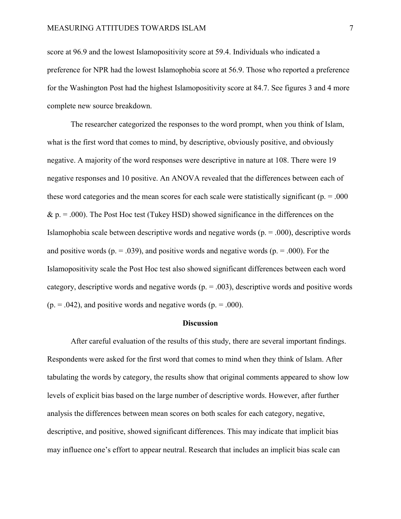score at 96.9 and the lowest Islamopositivity score at 59.4. Individuals who indicated a preference for NPR had the lowest Islamophobia score at 56.9. Those who reported a preference for the Washington Post had the highest Islamopositivity score at 84.7. See figures 3 and 4 more complete new source breakdown.

The researcher categorized the responses to the word prompt, when you think of Islam, what is the first word that comes to mind, by descriptive, obviously positive, and obviously negative. A majority of the word responses were descriptive in nature at 108. There were 19 negative responses and 10 positive. An ANOVA revealed that the differences between each of these word categories and the mean scores for each scale were statistically significant ( $p = .000$ )  $\& p = .000$ ). The Post Hoc test (Tukey HSD) showed significance in the differences on the Islamophobia scale between descriptive words and negative words  $(p = .000)$ , descriptive words and positive words ( $p = .039$ ), and positive words and negative words ( $p = .000$ ). For the Islamopositivity scale the Post Hoc test also showed significant differences between each word category, descriptive words and negative words  $(p = .003)$ , descriptive words and positive words  $(p = .042)$ , and positive words and negative words  $(p = .000)$ .

### **Discussion**

After careful evaluation of the results of this study, there are several important findings. Respondents were asked for the first word that comes to mind when they think of Islam. After tabulating the words by category, the results show that original comments appeared to show low levels of explicit bias based on the large number of descriptive words. However, after further analysis the differences between mean scores on both scales for each category, negative, descriptive, and positive, showed significant differences. This may indicate that implicit bias may influence one's effort to appear neutral. Research that includes an implicit bias scale can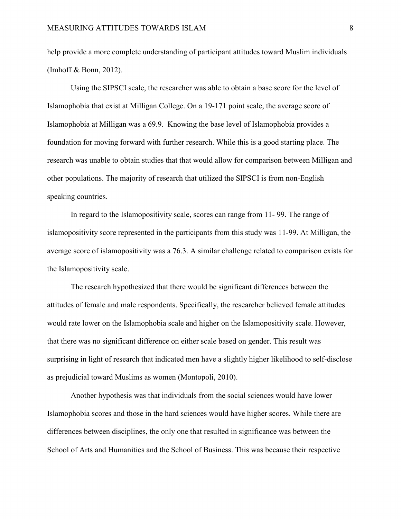help provide a more complete understanding of participant attitudes toward Muslim individuals (Imhoff & Bonn, 2012).

Using the SIPSCI scale, the researcher was able to obtain a base score for the level of Islamophobia that exist at Milligan College. On a 19-171 point scale, the average score of Islamophobia at Milligan was a 69.9. Knowing the base level of Islamophobia provides a foundation for moving forward with further research. While this is a good starting place. The research was unable to obtain studies that that would allow for comparison between Milligan and other populations. The majority of research that utilized the SIPSCI is from non-English speaking countries.

In regard to the Islamopositivity scale, scores can range from 11- 99. The range of islamopositivity score represented in the participants from this study was 11-99. At Milligan, the average score of islamopositivity was a 76.3. A similar challenge related to comparison exists for the Islamopositivity scale.

The research hypothesized that there would be significant differences between the attitudes of female and male respondents. Specifically, the researcher believed female attitudes would rate lower on the Islamophobia scale and higher on the Islamopositivity scale. However, that there was no significant difference on either scale based on gender. This result was surprising in light of research that indicated men have a slightly higher likelihood to self-disclose as prejudicial toward Muslims as women (Montopoli, 2010).

Another hypothesis was that individuals from the social sciences would have lower Islamophobia scores and those in the hard sciences would have higher scores. While there are differences between disciplines, the only one that resulted in significance was between the School of Arts and Humanities and the School of Business. This was because their respective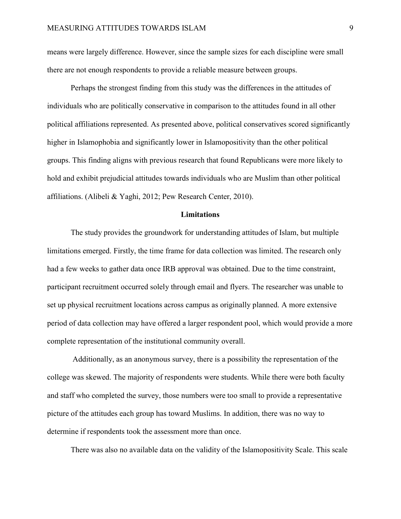means were largely difference. However, since the sample sizes for each discipline were small there are not enough respondents to provide a reliable measure between groups.

Perhaps the strongest finding from this study was the differences in the attitudes of individuals who are politically conservative in comparison to the attitudes found in all other political affiliations represented. As presented above, political conservatives scored significantly higher in Islamophobia and significantly lower in Islamopositivity than the other political groups. This finding aligns with previous research that found Republicans were more likely to hold and exhibit prejudicial attitudes towards individuals who are Muslim than other political affiliations. (Alibeli & Yaghi, 2012; Pew Research Center, 2010).

## **Limitations**

The study provides the groundwork for understanding attitudes of Islam, but multiple limitations emerged. Firstly, the time frame for data collection was limited. The research only had a few weeks to gather data once IRB approval was obtained. Due to the time constraint, participant recruitment occurred solely through email and flyers. The researcher was unable to set up physical recruitment locations across campus as originally planned. A more extensive period of data collection may have offered a larger respondent pool, which would provide a more complete representation of the institutional community overall.

 Additionally, as an anonymous survey, there is a possibility the representation of the college was skewed. The majority of respondents were students. While there were both faculty and staff who completed the survey, those numbers were too small to provide a representative picture of the attitudes each group has toward Muslims. In addition, there was no way to determine if respondents took the assessment more than once.

There was also no available data on the validity of the Islamopositivity Scale. This scale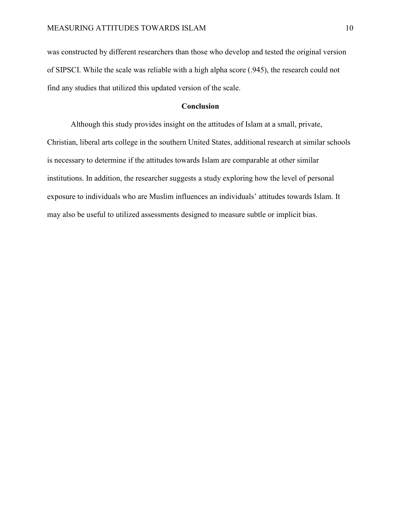was constructed by different researchers than those who develop and tested the original version of SIPSCI. While the scale was reliable with a high alpha score (.945), the research could not find any studies that utilized this updated version of the scale.

## **Conclusion**

 Although this study provides insight on the attitudes of Islam at a small, private, Christian, liberal arts college in the southern United States, additional research at similar schools is necessary to determine if the attitudes towards Islam are comparable at other similar institutions. In addition, the researcher suggests a study exploring how the level of personal exposure to individuals who are Muslim influences an individuals' attitudes towards Islam. It may also be useful to utilized assessments designed to measure subtle or implicit bias.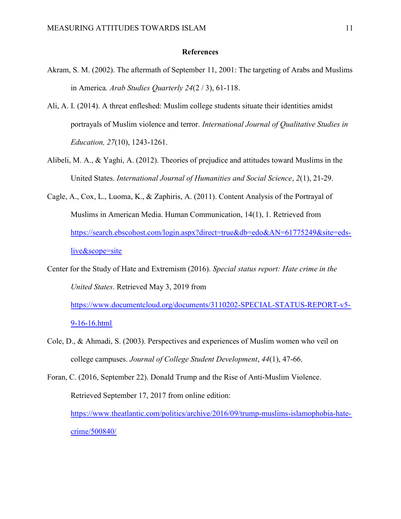### References

- Akram, S. M. (2002). The aftermath of September 11, 2001: The targeting of Arabs and Muslims in America. Arab Studies Quarterly 24(2 / 3), 61-118.
- Ali, A. I. (2014). A threat enfleshed: Muslim college students situate their identities amidst portrayals of Muslim violence and terror. International Journal of Qualitative Studies in Education, 27(10), 1243-1261.
- Alibeli, M. A., & Yaghi, A. (2012). Theories of prejudice and attitudes toward Muslims in the United States. International Journal of Humanities and Social Science, 2(1), 21-29.
- Cagle, A., Cox, L., Luoma, K., & Zaphiris, A. (2011). Content Analysis of the Portrayal of Muslims in American Media. Human Communication, 14(1), 1. Retrieved from https://search.ebscohost.com/login.aspx?direct=true&db=edo&AN=61775249&site=edslive&scope=site

Center for the Study of Hate and Extremism (2016). Special status report: Hate crime in the United States. Retrieved May 3, 2019 from https://www.documentcloud.org/documents/3110202-SPECIAL-STATUS-REPORT-v5-

9-16-16.html

Cole, D., & Ahmadi, S. (2003). Perspectives and experiences of Muslim women who veil on college campuses. Journal of College Student Development, 44(1), 47-66.

Foran, C. (2016, September 22). Donald Trump and the Rise of Anti-Muslim Violence. Retrieved September 17, 2017 from online edition: https://www.theatlantic.com/politics/archive/2016/09/trump-muslims-islamophobia-hatecrime/500840/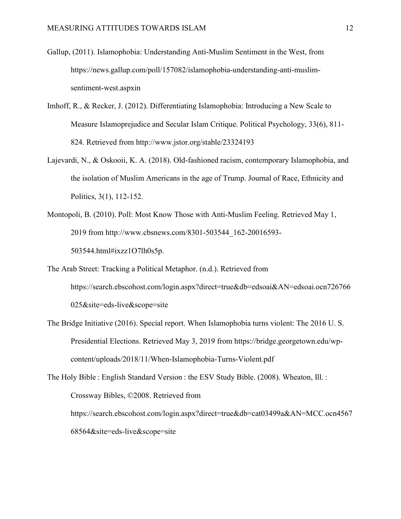- Gallup, (2011). Islamophobia: Understanding Anti-Muslim Sentiment in the West, from https://news.gallup.com/poll/157082/islamophobia-understanding-anti-muslimsentiment-west.aspxin
- Imhoff, R., & Recker, J. (2012). Differentiating Islamophobia: Introducing a New Scale to Measure Islamoprejudice and Secular Islam Critique. Political Psychology, 33(6), 811- 824. Retrieved from http://www.jstor.org/stable/23324193
- Lajevardi, N., & Oskooii, K. A. (2018). Old-fashioned racism, contemporary Islamophobia, and the isolation of Muslim Americans in the age of Trump. Journal of Race, Ethnicity and Politics, 3(1), 112-152.
- Montopoli, B. (2010). Poll: Most Know Those with Anti-Muslim Feeling. Retrieved May 1, 2019 from http://www.cbsnews.com/8301-503544\_162-20016593- 503544.html#ixzz1O7lh0s5p.
- The Arab Street: Tracking a Political Metaphor. (n.d.). Retrieved from https://search.ebscohost.com/login.aspx?direct=true&db=edsoai&AN=edsoai.ocn726766 025&site=eds-live&scope=site
- The Bridge Initiative (2016). Special report. When Islamophobia turns violent: The 2016 U. S. Presidential Elections. Retrieved May 3, 2019 from https://bridge.georgetown.edu/wpcontent/uploads/2018/11/When-Islamophobia-Turns-Violent.pdf

The Holy Bible : English Standard Version : the ESV Study Bible. (2008). Wheaton, Ill. : Crossway Bibles, ©2008. Retrieved from https://search.ebscohost.com/login.aspx?direct=true&db=cat03499a&AN=MCC.ocn4567 68564&site=eds-live&scope=site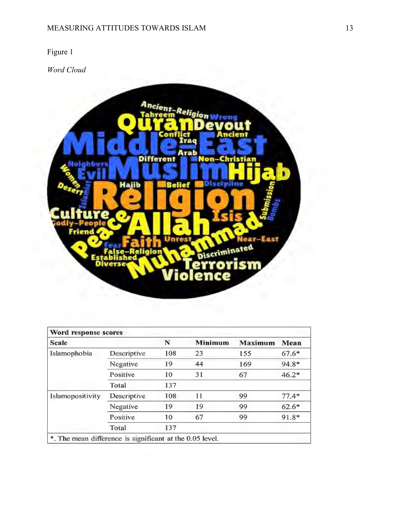Word Cloud



| Word response scores                                     |             |     |                |                |         |  |  |  |
|----------------------------------------------------------|-------------|-----|----------------|----------------|---------|--|--|--|
| <b>Scale</b>                                             |             | N   | <b>Minimum</b> | <b>Maximum</b> | Mean    |  |  |  |
| Islamophobia                                             | Descriptive | 108 | 23             | 155            | $67.6*$ |  |  |  |
|                                                          | Negative    | 19  | 44             | 169            | 94.8*   |  |  |  |
|                                                          | Positive    | 10  | 31             | 67             | $46.2*$ |  |  |  |
|                                                          | Total       | 137 |                |                |         |  |  |  |
| Islamopositivity                                         | Descriptive | 108 | 11             | 99             | $77.4*$ |  |  |  |
|                                                          | Negative    | 19  | 19             | 99             | $62.6*$ |  |  |  |
|                                                          | Positive    | 10  | 67             | 99             | 91.8*   |  |  |  |
|                                                          | Total       | 137 |                |                |         |  |  |  |
| *. The mean difference is significant at the 0.05 level. |             |     |                |                |         |  |  |  |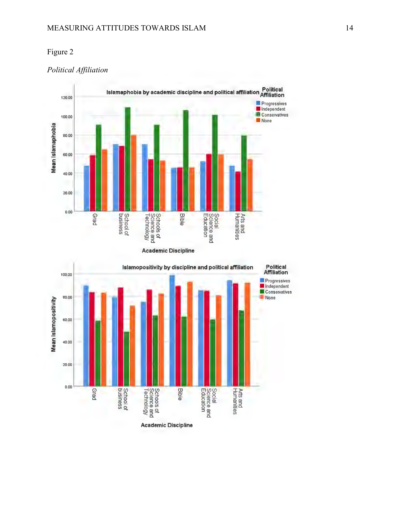## Political Affiliation



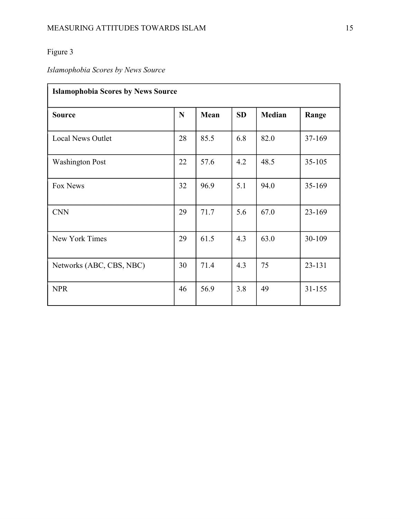# Islamophobia Scores by News Source

| <b>Islamophobia Scores by News Source</b> |    |      |           |               |            |  |  |
|-------------------------------------------|----|------|-----------|---------------|------------|--|--|
| <b>Source</b>                             | N  | Mean | <b>SD</b> | <b>Median</b> | Range      |  |  |
| <b>Local News Outlet</b>                  | 28 | 85.5 | 6.8       | 82.0          | 37-169     |  |  |
| <b>Washington Post</b>                    | 22 | 57.6 | 4.2       | 48.5          | $35 - 105$ |  |  |
| Fox News                                  | 32 | 96.9 | 5.1       | 94.0          | 35-169     |  |  |
| <b>CNN</b>                                | 29 | 71.7 | 5.6       | 67.0          | 23-169     |  |  |
| New York Times                            | 29 | 61.5 | 4.3       | 63.0          | 30-109     |  |  |
| Networks (ABC, CBS, NBC)                  |    | 71.4 | 4.3       | 75            | 23-131     |  |  |
| <b>NPR</b>                                |    | 56.9 | 3.8       | 49            | $31 - 155$ |  |  |